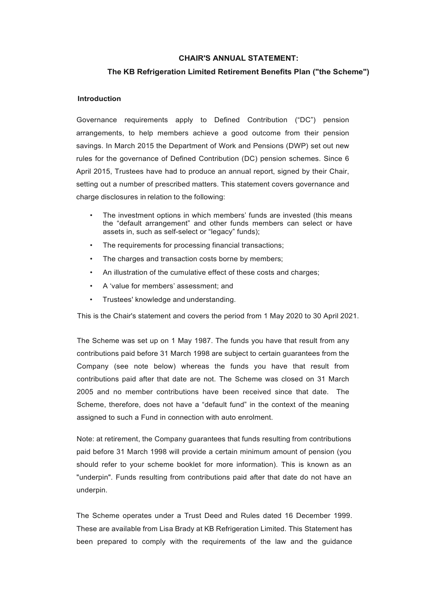### **CHAIR'S ANNUAL STATEMENT:**

## **The KB Refrigeration Limited Retirement Benefits Plan ("the Scheme")**

#### **Introduction**

Governance requirements apply to Defined Contribution ("DC") pension arrangements, to help members achieve a good outcome from their pension savings. In March 2015 the Department of Work and Pensions (DWP) set out new rules for the governance of Defined Contribution (DC) pension schemes. Since 6 April 2015, Trustees have had to produce an annual report, signed by their Chair, setting out a number of prescribed matters. This statement covers governance and charge disclosures in relation to the following:

- The investment options in which members' funds are invested (this means the "default arrangement" and other funds members can select or have assets in, such as self-select or "legacy" funds);
- The requirements for processing financial transactions;
- The charges and transaction costs borne by members;
- An illustration of the cumulative effect of these costs and charges;
- A 'value for members' assessment; and
- Trustees' knowledge and understanding.

This is the Chair's statement and covers the period from 1 May 2020 to 30 April 2021.

The Scheme was set up on 1 May 1987. The funds you have that result from any contributions paid before 31 March 1998 are subject to certain guarantees from the Company (see note below) whereas the funds you have that result from contributions paid after that date are not. The Scheme was closed on 31 March 2005 and no member contributions have been received since that date. The Scheme, therefore, does not have a "default fund" in the context of the meaning assigned to such a Fund in connection with auto enrolment.

Note: at retirement, the Company guarantees that funds resulting from contributions paid before 31 March 1998 will provide a certain minimum amount of pension (you should refer to your scheme booklet for more information). This is known as an "underpin". Funds resulting from contributions paid after that date do not have an underpin.

The Scheme operates under a Trust Deed and Rules dated 16 December 1999. These are available from Lisa Brady at KB Refrigeration Limited. This Statement has been prepared to comply with the requirements of the law and the guidance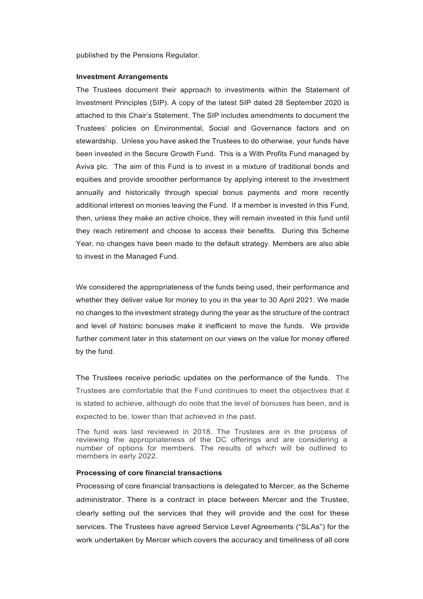published by the Pensions Regulator.

#### **Investment Arrangements**

The Trustees document their approach to investments within the Statement of Investment Principles (SIP). A copy of the latest SIP dated 28 September 2020 is attached to this Chair's Statement. The SIP includes amendments to document the Trustees' policies on Environmental, Social and Governance factors and on stewardship. Unless you have asked the Trustees to do otherwise, your funds have been invested in the Secure Growth Fund. This is a With Profits Fund managed by Aviva plc. The aim of this Fund is to invest in a mixture of traditional bonds and equities and provide smoother performance by applying interest to the investment annually and historically through special bonus payments and more recently additional interest on monies leaving the Fund. If a member is invested in this Fund, then, unless they make an active choice, they will remain invested in this fund until they reach retirement and choose to access their benefits. During this Scheme Year, no changes have been made to the default strategy. Members are also able to invest in the Managed Fund.

We considered the appropriateness of the funds being used, their performance and whether they deliver value for money to you in the year to 30 April 2021. We made no changes to the investment strategy during the year as the structure of the contract and level of historic bonuses make it inefficient to move the funds. We provide further comment later in this statement on our views on the value for money offered by the fund.

The Trustees receive periodic updates on the performance of the funds. The Trustees are comfortable that the Fund continues to meet the objectives that it is stated to achieve, although do note that the level of bonuses has been, and is expected to be, lower than that achieved in the past.

The fund was last reviewed in 2018. The Trustees are in the process of reviewing the appropriateness of the DC offerings and are considering a number of options for members. The results of which will be outlined to members in early 2022.

#### **Processing of core financial transactions**

Processing of core financial transactions is delegated to Mercer, as the Scheme administrator. There is a contract in place between Mercer and the Trustee, clearly setting out the services that they will provide and the cost for these services. The Trustees have agreed Service Level Agreements ("SLAs") for the work undertaken by Mercer which covers the accuracy and timeliness of all core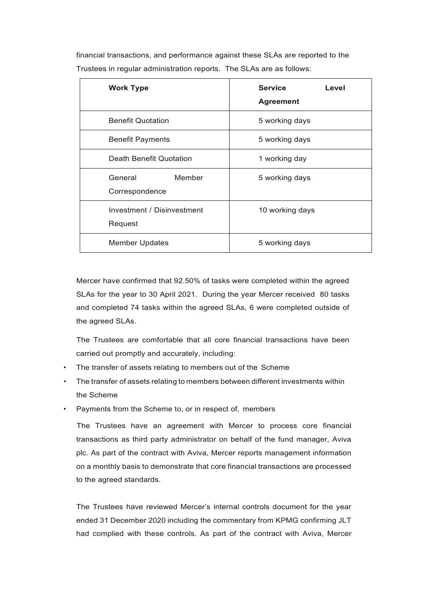financial transactions, and performance against these SLAs are reported to the Trustees in regular administration reports. The SLAs are as follows:

| <b>Work Type</b>                      | <b>Service</b><br>Level<br><b>Agreement</b> |
|---------------------------------------|---------------------------------------------|
| <b>Benefit Quotation</b>              | 5 working days                              |
| <b>Benefit Payments</b>               | 5 working days                              |
| Death Benefit Quotation               | 1 working day                               |
| General<br>Member<br>Correspondence   | 5 working days                              |
| Investment / Disinvestment<br>Request | 10 working days                             |
| <b>Member Updates</b>                 | 5 working days                              |

Mercer have confirmed that 92.50% of tasks were completed within the agreed SLAs for the year to 30 April 2021. During the year Mercer received 80 tasks and completed 74 tasks within the agreed SLAs, 6 were completed outside of the agreed SLAs.

The Trustees are comfortable that all core financial transactions have been carried out promptly and accurately, including:

- The transfer of assets relating to members out of the Scheme
- The transfer of assets relating to members between different investments within the Scheme
- Payments from the Scheme to, or in respect of, members

The Trustees have an agreement with Mercer to process core financial transactions as third party administrator on behalf of the fund manager, Aviva plc. As part of the contract with Aviva, Mercer reports management information on a monthly basis to demonstrate that core financial transactions are processed to the agreed standards.

The Trustees have reviewed Mercer's internal controls document for the year ended 31 December 2020 including the commentary from KPMG confirming JLT had complied with these controls. As part of the contract with Aviva, Mercer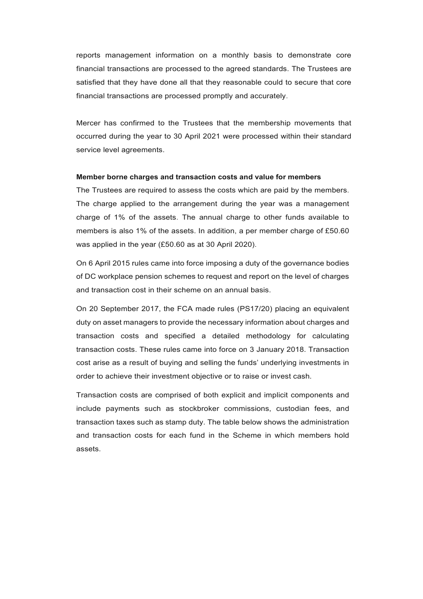reports management information on a monthly basis to demonstrate core financial transactions are processed to the agreed standards. The Trustees are satisfied that they have done all that they reasonable could to secure that core financial transactions are processed promptly and accurately.

Mercer has confirmed to the Trustees that the membership movements that occurred during the year to 30 April 2021 were processed within their standard service level agreements.

#### **Member borne charges and transaction costs and value for members**

The Trustees are required to assess the costs which are paid by the members. The charge applied to the arrangement during the year was a management charge of 1% of the assets. The annual charge to other funds available to members is also 1% of the assets. In addition, a per member charge of £50.60 was applied in the year (£50.60 as at 30 April 2020).

On 6 April 2015 rules came into force imposing a duty of the governance bodies of DC workplace pension schemes to request and report on the level of charges and transaction cost in their scheme on an annual basis.

On 20 September 2017, the FCA made rules (PS17/20) placing an equivalent duty on asset managers to provide the necessary information about charges and transaction costs and specified a detailed methodology for calculating transaction costs. These rules came into force on 3 January 2018. Transaction cost arise as a result of buying and selling the funds' underlying investments in order to achieve their investment objective or to raise or invest cash.

Transaction costs are comprised of both explicit and implicit components and include payments such as stockbroker commissions, custodian fees, and transaction taxes such as stamp duty. The table below shows the administration and transaction costs for each fund in the Scheme in which members hold assets.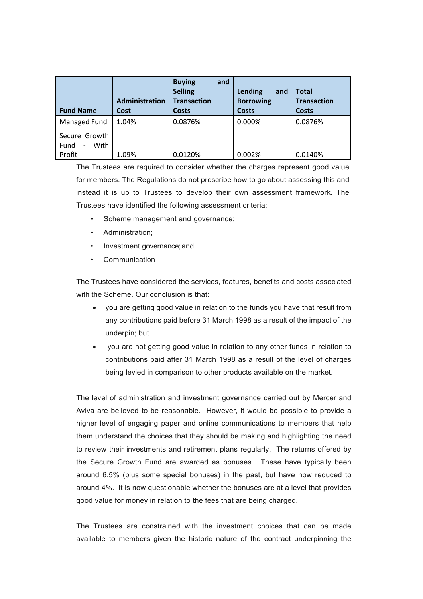| <b>Fund Name</b>                                                    | Administration<br>Cost | <b>Buying</b><br>and<br><b>Selling</b><br><b>Transaction</b><br><b>Costs</b> | Lending<br>and<br><b>Borrowing</b><br><b>Costs</b> | <b>Total</b><br><b>Transaction</b><br>Costs |
|---------------------------------------------------------------------|------------------------|------------------------------------------------------------------------------|----------------------------------------------------|---------------------------------------------|
| Managed Fund                                                        | 1.04%                  | 0.0876%                                                                      | 0.000%                                             | 0.0876%                                     |
| Secure Growth<br>With<br>Fund<br>$\overline{\phantom{m}}$<br>Profit | 1.09%                  | 0.0120%                                                                      | 0.002%                                             | 0.0140%                                     |

The Trustees are required to consider whether the charges represent good value for members. The Regulations do not prescribe how to go about assessing this and instead it is up to Trustees to develop their own assessment framework. The Trustees have identified the following assessment criteria:

- Scheme management and governance;
- Administration;
- Investment governance; and
- **Communication**

The Trustees have considered the services, features, benefits and costs associated with the Scheme. Our conclusion is that:

- you are getting good value in relation to the funds you have that result from any contributions paid before 31 March 1998 as a result of the impact of the underpin; but
- you are not getting good value in relation to any other funds in relation to contributions paid after 31 March 1998 as a result of the level of charges being levied in comparison to other products available on the market.

The level of administration and investment governance carried out by Mercer and Aviva are believed to be reasonable. However, it would be possible to provide a higher level of engaging paper and online communications to members that help them understand the choices that they should be making and highlighting the need to review their investments and retirement plans regularly. The returns offered by the Secure Growth Fund are awarded as bonuses. These have typically been around 6.5% (plus some special bonuses) in the past, but have now reduced to around 4%. It is now questionable whether the bonuses are at a level that provides good value for money in relation to the fees that are being charged.

The Trustees are constrained with the investment choices that can be made available to members given the historic nature of the contract underpinning the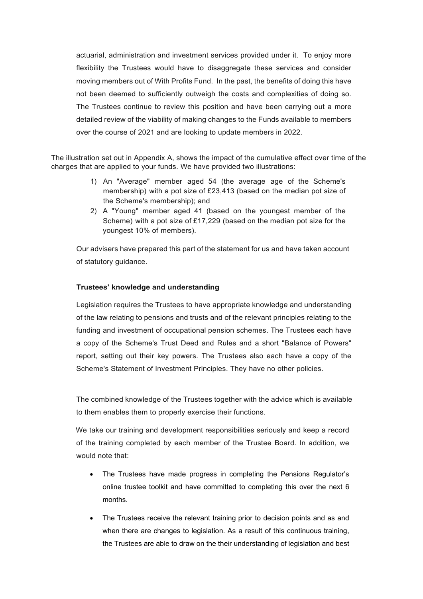actuarial, administration and investment services provided under it. To enjoy more flexibility the Trustees would have to disaggregate these services and consider moving members out of With Profits Fund. In the past, the benefits of doing this have not been deemed to sufficiently outweigh the costs and complexities of doing so. The Trustees continue to review this position and have been carrying out a more detailed review of the viability of making changes to the Funds available to members over the course of 2021 and are looking to update members in 2022.

The illustration set out in Appendix A, shows the impact of the cumulative effect over time of the charges that are applied to your funds. We have provided two illustrations:

- 1) An "Average" member aged 54 (the average age of the Scheme's membership) with a pot size of £23,413 (based on the median pot size of the Scheme's membership); and
- 2) A "Young" member aged 41 (based on the youngest member of the Scheme) with a pot size of £17,229 (based on the median pot size for the youngest 10% of members).

Our advisers have prepared this part of the statement for us and have taken account of statutory guidance.

### **Trustees' knowledge and understanding**

Legislation requires the Trustees to have appropriate knowledge and understanding of the law relating to pensions and trusts and of the relevant principles relating to the funding and investment of occupational pension schemes. The Trustees each have a copy of the Scheme's Trust Deed and Rules and a short "Balance of Powers" report, setting out their key powers. The Trustees also each have a copy of the Scheme's Statement of Investment Principles. They have no other policies.

The combined knowledge of the Trustees together with the advice which is available to them enables them to properly exercise their functions.

We take our training and development responsibilities seriously and keep a record of the training completed by each member of the Trustee Board. In addition, we would note that:

- The Trustees have made progress in completing the Pensions Regulator's online trustee toolkit and have committed to completing this over the next 6 months.
- The Trustees receive the relevant training prior to decision points and as and when there are changes to legislation. As a result of this continuous training, the Trustees are able to draw on the their understanding of legislation and best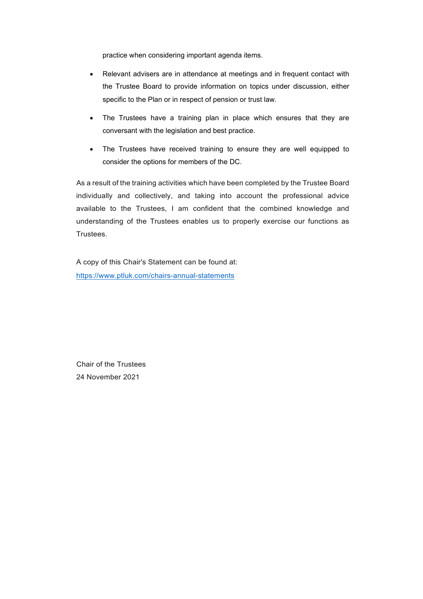practice when considering important agenda items.

- Relevant advisers are in attendance at meetings and in frequent contact with the Trustee Board to provide information on topics under discussion, either specific to the Plan or in respect of pension or trust law.
- The Trustees have a training plan in place which ensures that they are conversant with the legislation and best practice.
- The Trustees have received training to ensure they are well equipped to consider the options for members of the DC.

As a result of the training activities which have been completed by the Trustee Board individually and collectively, and taking into account the professional advice available to the Trustees, I am confident that the combined knowledge and understanding of the Trustees enables us to properly exercise our functions as Trustees.

A copy of this Chair's Statement can be found at: [https://www.ptluk.com/chairs-annual-statements](https://www.ptluk.com/chairs-annual-statement/KBRefrigeration)

Chair of the Trustees 24 November 2021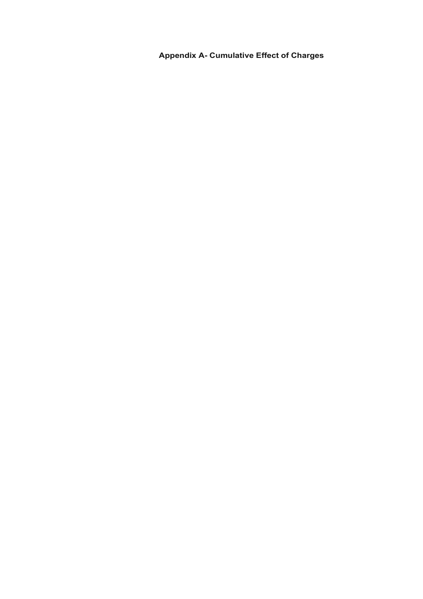**Appendix A- Cumulative Effect of Charges**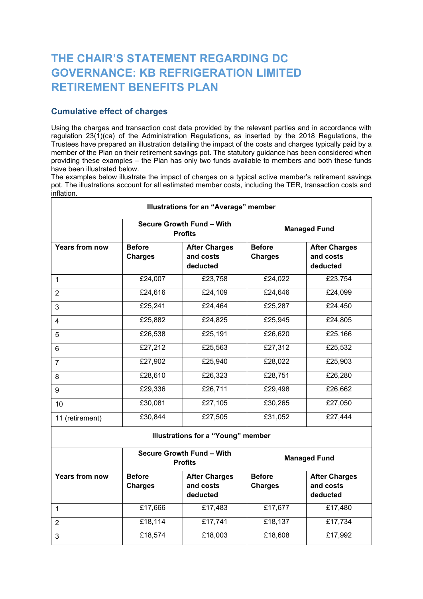# **THE CHAIR'S STATEMENT REGARDING DC GOVERNANCE: KB REFRIGERATION LIMITED RETIREMENT BENEFITS PLAN**

# **Cumulative effect of charges**

Using the charges and transaction cost data provided by the relevant parties and in accordance with regulation 23(1)(ca) of the Administration Regulations, as inserted by the 2018 Regulations, the Trustees have prepared an illustration detailing the impact of the costs and charges typically paid by a member of the Plan on their retirement savings pot. The statutory guidance has been considered when providing these examples – the Plan has only two funds available to members and both these funds have been illustrated below.

The examples below illustrate the impact of charges on a typical active member's retirement savings pot. The illustrations account for all estimated member costs, including the TER, transaction costs and inflation.

|                       |                                             | <b>Illustrations for an "Average" member</b>  |                                 |                                               |
|-----------------------|---------------------------------------------|-----------------------------------------------|---------------------------------|-----------------------------------------------|
|                       | Secure Growth Fund - With<br><b>Profits</b> |                                               | <b>Managed Fund</b>             |                                               |
| <b>Years from now</b> | <b>Before</b><br><b>Charges</b>             | <b>After Charges</b><br>and costs<br>deducted | <b>Before</b><br><b>Charges</b> | <b>After Charges</b><br>and costs<br>deducted |
| 1                     | £24,007                                     | £23,758                                       | £24,022                         | £23,754                                       |
| $\overline{2}$        | £24,616                                     | £24,109                                       | £24,646                         | £24,099                                       |
| 3                     | £25,241                                     | £24,464                                       | £25,287                         | £24,450                                       |
| 4                     | £25,882                                     | £24,825                                       | £25,945                         | £24,805                                       |
| 5                     | £26,538                                     | £25,191                                       | £26,620                         | £25,166                                       |
| 6                     | £27,212                                     | £25,563                                       | £27,312                         | £25,532                                       |
| $\overline{7}$        | £27,902                                     | £25,940                                       | £28,022                         | £25,903                                       |
| 8                     | £28,610                                     | £26,323                                       | £28,751                         | £26,280                                       |
| 9                     | £29,336                                     | £26,711                                       | £29,498                         | £26,662                                       |
| 10                    | £30,081                                     | £27,105                                       | £30,265                         | £27,050                                       |
| 11 (retirement)       | £30,844                                     | £27,505                                       | £31,052                         | £27,444                                       |
|                       |                                             | <b>Illustrations for a "Young" member</b>     |                                 |                                               |
|                       | Secure Growth Fund - With<br><b>Profits</b> |                                               |                                 | <b>Managed Fund</b>                           |
| <b>Years from now</b> | <b>Before</b><br><b>Charges</b>             | <b>After Charges</b><br>and costs<br>deducted | <b>Before</b><br><b>Charges</b> | <b>After Charges</b><br>and costs<br>deducted |
| $\mathbf{1}$          | £17,666                                     | £17,483                                       | £17,677                         | £17,480                                       |
| $\overline{2}$        | £18,114                                     | £17,741                                       | £18,137                         | £17,734                                       |
| 3                     | £18,574                                     | £18,003                                       | £18,608                         | £17,992                                       |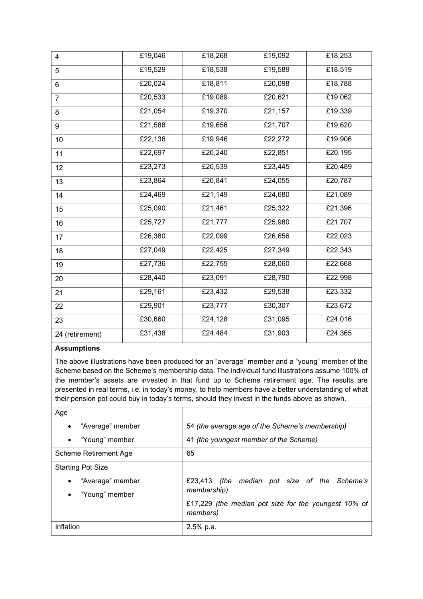| $\overline{4}$  | £19,046 | £18,268 | £19,092 | £18,253 |
|-----------------|---------|---------|---------|---------|
| 5               | £19,529 | £18,538 | £19,589 | £18,519 |
| 6               | £20,024 | £18,811 | £20,098 | £18,788 |
| $\overline{7}$  | £20,533 | £19,089 | £20,621 | £19,062 |
| 8               | £21,054 | £19,370 | £21,157 | £19,339 |
| 9               | £21,588 | £19,656 | £21,707 | £19,620 |
| 10              | £22,136 | £19,946 | £22,272 | £19,906 |
| 11              | £22,697 | £20,240 | £22,851 | £20,195 |
| 12              | £23,273 | £20,539 | £23,445 | £20,489 |
| 13              | £23,864 | £20,841 | £24,055 | £20,787 |
| 14              | £24,469 | £21,149 | £24,680 | £21,089 |
| 15              | £25,090 | £21,461 | £25,322 | £21,396 |
| 16              | £25,727 | £21,777 | £25,980 | £21,707 |
| 17              | £26,380 | £22,099 | £26,656 | £22,023 |
| 18              | £27,049 | £22,425 | £27,349 | £22,343 |
| 19              | £27,736 | £22,755 | £28,060 | £22,668 |
| 20              | £28,440 | £23,091 | £28,790 | £22,998 |
| 21              | £29,161 | £23,432 | £29,538 | £23,332 |
| 22              | £29,901 | £23,777 | £30,307 | £23,672 |
| 23              | £30,660 | £24,128 | £31,095 | £24,016 |
| 24 (retirement) | £31,438 | £24,484 | £31,903 | £24,365 |

## **Assumptions**

The above illustrations have been produced for an "average" member and a "young" member of the Scheme based on the Scheme's membership data. The individual fund illustrations assume 100% of the member's assets are invested in that fund up to Scheme retirement age. The results are presented in real terms, i.e. in today's money, to help members have a better understanding of what their pension pot could buy in today's terms, should they invest in the funds above as shown.

| Age                           |                                                                  |
|-------------------------------|------------------------------------------------------------------|
| "Average" member<br>$\bullet$ | 54 (the average age of the Scheme's membership)                  |
| "Young" member<br>$\bullet$   | 41 (the youngest member of the Scheme)                           |
| Scheme Retirement Age         | 65                                                               |
| <b>Starting Pot Size</b>      |                                                                  |
| "Average" member              | £23,413 (the median pot size of the Scheme's                     |
| "Young" member                | membership)                                                      |
|                               | £17,229 (the median pot size for the youngest 10% of<br>members) |
| Inflation                     | 2.5% p.a.                                                        |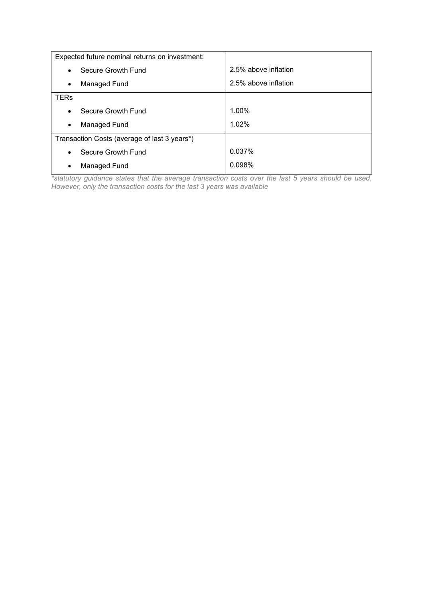| Expected future nominal returns on investment: |                      |
|------------------------------------------------|----------------------|
| Secure Growth Fund<br>$\bullet$                | 2.5% above inflation |
| Managed Fund<br>$\bullet$                      | 2.5% above inflation |
| <b>TERs</b>                                    |                      |
| Secure Growth Fund<br>$\bullet$                | 1.00%                |
| Managed Fund<br>$\bullet$                      | 1.02%                |
| Transaction Costs (average of last 3 years*)   |                      |
| Secure Growth Fund<br>$\bullet$                | 0.037%               |
| Managed Fund<br>٠                              | 0.098%               |

*\*statutory guidance states that the average transaction costs over the last 5 years should be used. However, only the transaction costs for the last 3 years was available*